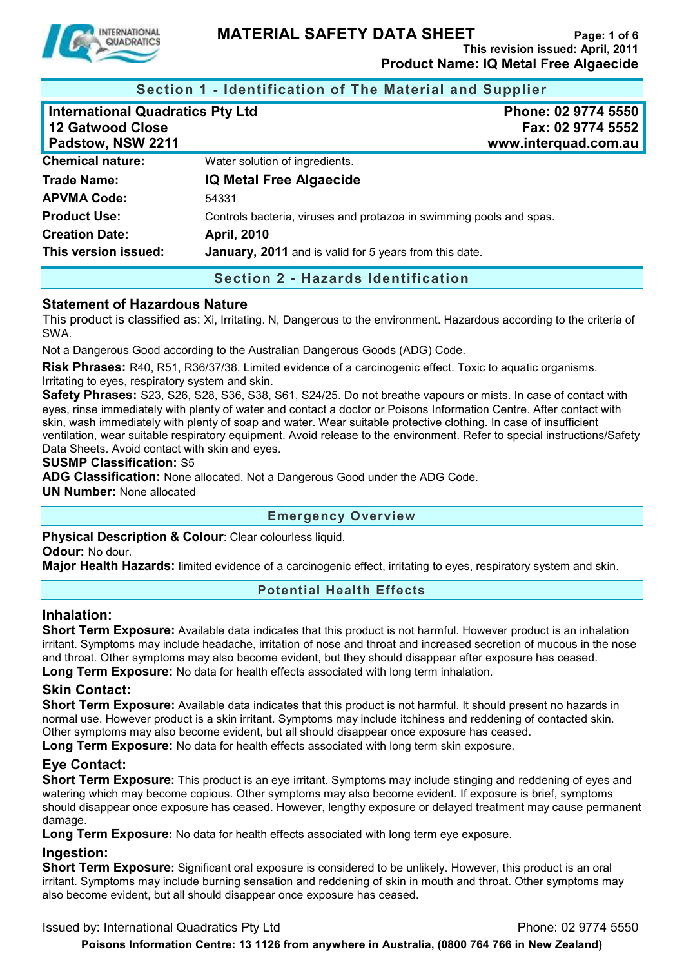

**Section 1 - Identification of The Material and Supplier** 

| <b>International Quadratics Pty Ltd</b><br><b>12 Gatwood Close</b><br>Padstow, NSW 2211 | Phone: 02 9774 5550<br>Fax: 02 9774 5552<br>www.interquad.com.au    |
|-----------------------------------------------------------------------------------------|---------------------------------------------------------------------|
| <b>Chemical nature:</b>                                                                 | Water solution of ingredients.                                      |
| <b>Trade Name:</b>                                                                      | <b>IQ Metal Free Algaecide</b>                                      |
| <b>APVMA Code:</b>                                                                      | 54331                                                               |
| <b>Product Use:</b>                                                                     | Controls bacteria, viruses and protazoa in swimming pools and spas. |
| <b>Creation Date:</b>                                                                   | <b>April, 2010</b>                                                  |
| This version issued:                                                                    | January, 2011 and is valid for 5 years from this date.              |

**Section 2 - Hazards Identification** 

#### **Statement of Hazardous Nature**

This product is classified as: Xi, Irritating. N, Dangerous to the environment. Hazardous according to the criteria of SWA.

Not a Dangerous Good according to the Australian Dangerous Goods (ADG) Code.

**Risk Phrases:** R40, R51, R36/37/38. Limited evidence of a carcinogenic effect. Toxic to aquatic organisms. Irritating to eyes, respiratory system and skin.

**Safety Phrases:** S23, S26, S28, S36, S38, S61, S24/25. Do not breathe vapours or mists. In case of contact with eyes, rinse immediately with plenty of water and contact a doctor or Poisons Information Centre. After contact with skin, wash immediately with plenty of soap and water. Wear suitable protective clothing. In case of insufficient ventilation, wear suitable respiratory equipment. Avoid release to the environment. Refer to special instructions/Safety Data Sheets. Avoid contact with skin and eyes.

#### **SUSMP Classification:** S5

**ADG Classification:** None allocated. Not a Dangerous Good under the ADG Code.

**UN Number:** None allocated

#### **Emergency Overview**

**Physical Description & Colour: Clear colourless liquid.** 

**Odour:** No dour.

**Major Health Hazards:** limited evidence of a carcinogenic effect, irritating to eyes, respiratory system and skin.

#### **Potential Health Effects**

#### **Inhalation:**

**Short Term Exposure:** Available data indicates that this product is not harmful. However product is an inhalation irritant. Symptoms may include headache, irritation of nose and throat and increased secretion of mucous in the nose and throat. Other symptoms may also become evident, but they should disappear after exposure has ceased. **Long Term Exposure:** No data for health effects associated with long term inhalation.

#### **Skin Contact:**

**Short Term Exposure:** Available data indicates that this product is not harmful. It should present no hazards in normal use. However product is a skin irritant. Symptoms may include itchiness and reddening of contacted skin. Other symptoms may also become evident, but all should disappear once exposure has ceased.

**Long Term Exposure:** No data for health effects associated with long term skin exposure.

### **Eye Contact:**

**Short Term Exposure:** This product is an eye irritant. Symptoms may include stinging and reddening of eyes and watering which may become copious. Other symptoms may also become evident. If exposure is brief, symptoms should disappear once exposure has ceased. However, lengthy exposure or delayed treatment may cause permanent damage.

**Long Term Exposure:** No data for health effects associated with long term eye exposure.

#### **Ingestion:**

**Short Term Exposure:** Significant oral exposure is considered to be unlikely. However, this product is an oral irritant. Symptoms may include burning sensation and reddening of skin in mouth and throat. Other symptoms may also become evident, but all should disappear once exposure has ceased.

Issued by: International Quadratics Pty Ltd **Phone: 02 9774 5550**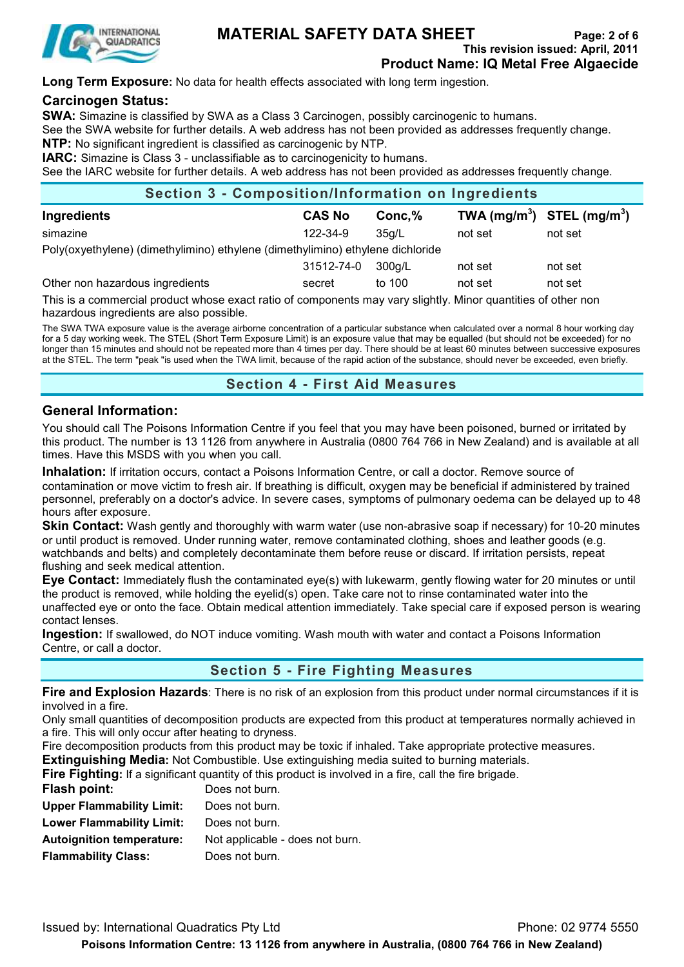

## **MATERIAL SAFETY DATA SHEET** Page: 2 of 6

**This revision issued: April, 2011**

**Product Name: IQ Metal Free Algaecide**

**Long Term Exposure:** No data for health effects associated with long term ingestion.

### **Carcinogen Status:**

**SWA:** Simazine is classified by SWA as a Class 3 Carcinogen, possibly carcinogenic to humans.

See the SWA website for further details. A web address has not been provided as addresses frequently change.

**NTP:** No significant ingredient is classified as carcinogenic by NTP.

**IARC:** Simazine is Class 3 - unclassifiable as to carcinogenicity to humans.

See the IARC website for further details. A web address has not been provided as addresses frequently change.

| <b>Section 3 - Composition/Information on Ingredients</b>                      |               |         |         |                                |
|--------------------------------------------------------------------------------|---------------|---------|---------|--------------------------------|
| Ingredients                                                                    | <b>CAS No</b> | Conc, % |         | TWA $(mg/m^3)$ STEL $(mg/m^3)$ |
| simazine                                                                       | 122-34-9      | 35a/L   | not set | not set                        |
| Poly(oxyethylene) (dimethylimino) ethylene (dimethylimino) ethylene dichloride |               |         |         |                                |
|                                                                                | 31512-74-0    | 300g/L  | not set | not set                        |
| Other non hazardous ingredients                                                | secret        | to 100  | not set | not set                        |
| .<br>____                                                                      |               | .       |         | .  .                           |

This is a commercial product whose exact ratio of components may vary slightly. Minor quantities of other non hazardous ingredients are also possible.

The SWA TWA exposure value is the average airborne concentration of a particular substance when calculated over a normal 8 hour working day for a 5 day working week. The STEL (Short Term Exposure Limit) is an exposure value that may be equalled (but should not be exceeded) for no longer than 15 minutes and should not be repeated more than 4 times per day. There should be at least 60 minutes between successive exposures at the STEL. The term "peak "is used when the TWA limit, because of the rapid action of the substance, should never be exceeded, even briefly.

**Section 4 - First Aid Measures** 

### **General Information:**

You should call The Poisons Information Centre if you feel that you may have been poisoned, burned or irritated by this product. The number is 13 1126 from anywhere in Australia (0800 764 766 in New Zealand) and is available at all times. Have this MSDS with you when you call.

**Inhalation:** If irritation occurs, contact a Poisons Information Centre, or call a doctor. Remove source of contamination or move victim to fresh air. If breathing is difficult, oxygen may be beneficial if administered by trained personnel, preferably on a doctor's advice. In severe cases, symptoms of pulmonary oedema can be delayed up to 48 hours after exposure.

**Skin Contact:** Wash gently and thoroughly with warm water (use non-abrasive soap if necessary) for 10-20 minutes or until product is removed. Under running water, remove contaminated clothing, shoes and leather goods (e.g. watchbands and belts) and completely decontaminate them before reuse or discard. If irritation persists, repeat flushing and seek medical attention.

**Eye Contact:** Immediately flush the contaminated eye(s) with lukewarm, gently flowing water for 20 minutes or until the product is removed, while holding the eyelid(s) open. Take care not to rinse contaminated water into the unaffected eye or onto the face. Obtain medical attention immediately. Take special care if exposed person is wearing contact lenses.

**Ingestion:** If swallowed, do NOT induce vomiting. Wash mouth with water and contact a Poisons Information Centre, or call a doctor.

### **Section 5 - Fire Fighting Measures**

**Fire and Explosion Hazards**: There is no risk of an explosion from this product under normal circumstances if it is involved in a fire.

Only small quantities of decomposition products are expected from this product at temperatures normally achieved in a fire. This will only occur after heating to dryness.

Fire decomposition products from this product may be toxic if inhaled. Take appropriate protective measures.

**Extinguishing Media:** Not Combustible. Use extinguishing media suited to burning materials.

**Fire Fighting:** If a significant quantity of this product is involved in a fire, call the fire brigade.

| Flash point:                     | Does not burn.                  |
|----------------------------------|---------------------------------|
| <b>Upper Flammability Limit:</b> | Does not burn.                  |
| <b>Lower Flammability Limit:</b> | Does not burn.                  |
| <b>Autoignition temperature:</b> | Not applicable - does not burn. |
| <b>Flammability Class:</b>       | Does not burn.                  |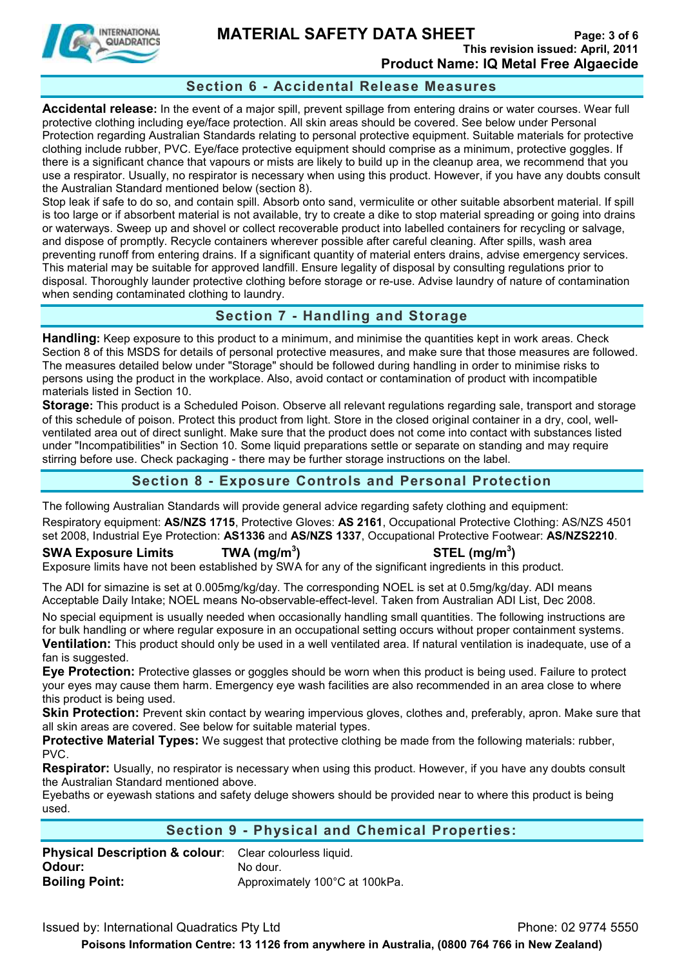

### **MATERIAL SAFETY DATA SHEET** Page: 3 of 6 **This revision issued: April, 2011 Product Name: IQ Metal Free Algaecide**

### **Section 6 - Accidental Release Measures**

**Accidental release:** In the event of a major spill, prevent spillage from entering drains or water courses. Wear full protective clothing including eye/face protection. All skin areas should be covered. See below under Personal Protection regarding Australian Standards relating to personal protective equipment. Suitable materials for protective clothing include rubber, PVC. Eye/face protective equipment should comprise as a minimum, protective goggles. If there is a significant chance that vapours or mists are likely to build up in the cleanup area, we recommend that you use a respirator. Usually, no respirator is necessary when using this product. However, if you have any doubts consult the Australian Standard mentioned below (section 8).

Stop leak if safe to do so, and contain spill. Absorb onto sand, vermiculite or other suitable absorbent material. If spill is too large or if absorbent material is not available, try to create a dike to stop material spreading or going into drains or waterways. Sweep up and shovel or collect recoverable product into labelled containers for recycling or salvage, and dispose of promptly. Recycle containers wherever possible after careful cleaning. After spills, wash area preventing runoff from entering drains. If a significant quantity of material enters drains, advise emergency services. This material may be suitable for approved landfill. Ensure legality of disposal by consulting regulations prior to disposal. Thoroughly launder protective clothing before storage or re-use. Advise laundry of nature of contamination when sending contaminated clothing to laundry.

### **Section 7 - Handling and Storage**

**Handling:** Keep exposure to this product to a minimum, and minimise the quantities kept in work areas. Check Section 8 of this MSDS for details of personal protective measures, and make sure that those measures are followed. The measures detailed below under "Storage" should be followed during handling in order to minimise risks to persons using the product in the workplace. Also, avoid contact or contamination of product with incompatible materials listed in Section 10.

**Storage:** This product is a Scheduled Poison. Observe all relevant regulations regarding sale, transport and storage of this schedule of poison. Protect this product from light. Store in the closed original container in a dry, cool, wellventilated area out of direct sunlight. Make sure that the product does not come into contact with substances listed under "Incompatibilities" in Section 10. Some liquid preparations settle or separate on standing and may require stirring before use. Check packaging - there may be further storage instructions on the label.

### **Section 8 - Exposure Controls and Personal Protection**

The following Australian Standards will provide general advice regarding safety clothing and equipment: Respiratory equipment: **AS/NZS 1715**, Protective Gloves: **AS 2161**, Occupational Protective Clothing: AS/NZS 4501 set 2008, Industrial Eye Protection: **AS1336** and **AS/NZS 1337**, Occupational Protective Footwear: **AS/NZS2210**.

**SWA Exposure Limits TWA (mg/m<sup>3</sup>**

**) STEL (mg/m<sup>3</sup> )** 

Exposure limits have not been established by SWA for any of the significant ingredients in this product.

The ADI for simazine is set at 0.005mg/kg/day. The corresponding NOEL is set at 0.5mg/kg/day. ADI means Acceptable Daily Intake; NOEL means No-observable-effect-level. Taken from Australian ADI List, Dec 2008.

No special equipment is usually needed when occasionally handling small quantities. The following instructions are for bulk handling or where regular exposure in an occupational setting occurs without proper containment systems. **Ventilation:** This product should only be used in a well ventilated area. If natural ventilation is inadequate, use of a fan is suggested.

**Eye Protection:** Protective glasses or goggles should be worn when this product is being used. Failure to protect your eyes may cause them harm. Emergency eye wash facilities are also recommended in an area close to where this product is being used.

Skin Protection: Prevent skin contact by wearing impervious gloves, clothes and, preferably, apron. Make sure that all skin areas are covered. See below for suitable material types.

**Protective Material Types:** We suggest that protective clothing be made from the following materials: rubber, PVC.

**Respirator:** Usually, no respirator is necessary when using this product. However, if you have any doubts consult the Australian Standard mentioned above.

Eyebaths or eyewash stations and safety deluge showers should be provided near to where this product is being used.

### **Section 9 - Physical and Chemical Properties:**

**Physical Description & colour**: Clear colourless liquid. **Odour:** No dour. **Boiling Point: Approximately 100°C at 100kPa.** 

Issued by: International Quadratics Pty Ltd **Phone: 02 9774 5550 Poisons Information Centre: 13 1126 from anywhere in Australia, (0800 764 766 in New Zealand)**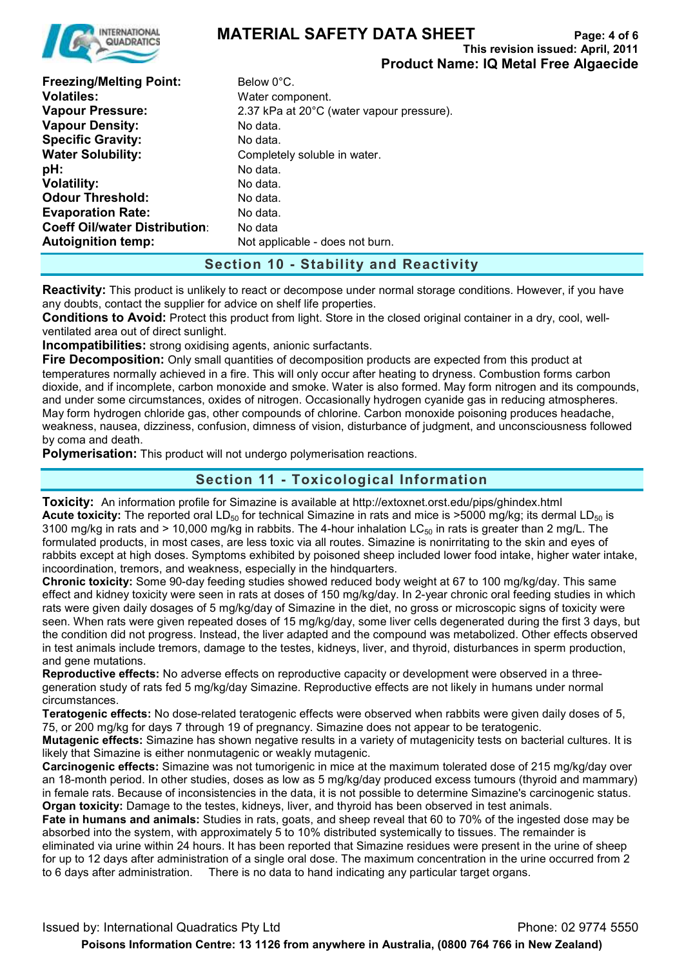

## **MATERIAL SAFETY DATA SHEET** Page: 4 of 6

**This revision issued: April, 2011**

**Product Name: IQ Metal Free Algaecide Freezing/Melting Point:** Below 0°C. **Volatiles:** Water component. **Vapour Pressure:** 2.37 kPa at 20°C (water vapour pressure). **Vapour Density:** No data. **Specific Gravity:** No data. **Water Solubility:** Completely soluble in water. **pH:** No data. **Volatility:** No data. **Odour Threshold:** No data. **Evaporation Rate:** No data. **Coeff Oil/water Distribution:** No data **Autoignition temp:** Not applicable - does not burn.

### **Section 10 - Stability and Reactivity**

**Reactivity:** This product is unlikely to react or decompose under normal storage conditions. However, if you have any doubts, contact the supplier for advice on shelf life properties.

**Conditions to Avoid:** Protect this product from light. Store in the closed original container in a dry, cool, wellventilated area out of direct sunlight.

**Incompatibilities:** strong oxidising agents, anionic surfactants.

**Fire Decomposition:** Only small quantities of decomposition products are expected from this product at temperatures normally achieved in a fire. This will only occur after heating to dryness. Combustion forms carbon dioxide, and if incomplete, carbon monoxide and smoke. Water is also formed. May form nitrogen and its compounds, and under some circumstances, oxides of nitrogen. Occasionally hydrogen cyanide gas in reducing atmospheres. May form hydrogen chloride gas, other compounds of chlorine. Carbon monoxide poisoning produces headache, weakness, nausea, dizziness, confusion, dimness of vision, disturbance of judgment, and unconsciousness followed by coma and death.

**Polymerisation:** This product will not undergo polymerisation reactions.

### **Section 11 - Toxicological Information**

**Toxicity:** An information profile for Simazine is available at http://extoxnet.orst.edu/pips/ghindex.html **Acute toxicity:** The reported oral LD<sub>50</sub> for technical Simazine in rats and mice is >5000 mg/kg; its dermal LD<sub>50</sub> is 3100 mg/kg in rats and > 10,000 mg/kg in rabbits. The 4-hour inhalation LC $_{50}$  in rats is greater than 2 mg/L. The formulated products, in most cases, are less toxic via all routes. Simazine is nonirritating to the skin and eyes of rabbits except at high doses. Symptoms exhibited by poisoned sheep included lower food intake, higher water intake, incoordination, tremors, and weakness, especially in the hindquarters.

**Chronic toxicity:** Some 90-day feeding studies showed reduced body weight at 67 to 100 mg/kg/day. This same effect and kidney toxicity were seen in rats at doses of 150 mg/kg/day. In 2-year chronic oral feeding studies in which rats were given daily dosages of 5 mg/kg/day of Simazine in the diet, no gross or microscopic signs of toxicity were seen. When rats were given repeated doses of 15 mg/kg/day, some liver cells degenerated during the first 3 days, but the condition did not progress. Instead, the liver adapted and the compound was metabolized. Other effects observed in test animals include tremors, damage to the testes, kidneys, liver, and thyroid, disturbances in sperm production, and gene mutations.

**Reproductive effects:** No adverse effects on reproductive capacity or development were observed in a threegeneration study of rats fed 5 mg/kg/day Simazine. Reproductive effects are not likely in humans under normal circumstances.

**Teratogenic effects:** No dose-related teratogenic effects were observed when rabbits were given daily doses of 5, 75, or 200 mg/kg for days 7 through 19 of pregnancy. Simazine does not appear to be teratogenic.

**Mutagenic effects:** Simazine has shown negative results in a variety of mutagenicity tests on bacterial cultures. It is likely that Simazine is either nonmutagenic or weakly mutagenic.

**Carcinogenic effects:** Simazine was not tumorigenic in mice at the maximum tolerated dose of 215 mg/kg/day over an 18-month period. In other studies, doses as low as 5 mg/kg/day produced excess tumours (thyroid and mammary) in female rats. Because of inconsistencies in the data, it is not possible to determine Simazine's carcinogenic status. **Organ toxicity:** Damage to the testes, kidneys, liver, and thyroid has been observed in test animals.

**Fate in humans and animals:** Studies in rats, goats, and sheep reveal that 60 to 70% of the ingested dose may be absorbed into the system, with approximately 5 to 10% distributed systemically to tissues. The remainder is eliminated via urine within 24 hours. It has been reported that Simazine residues were present in the urine of sheep for up to 12 days after administration of a single oral dose. The maximum concentration in the urine occurred from 2 to 6 days after administration.There is no data to hand indicating any particular target organs.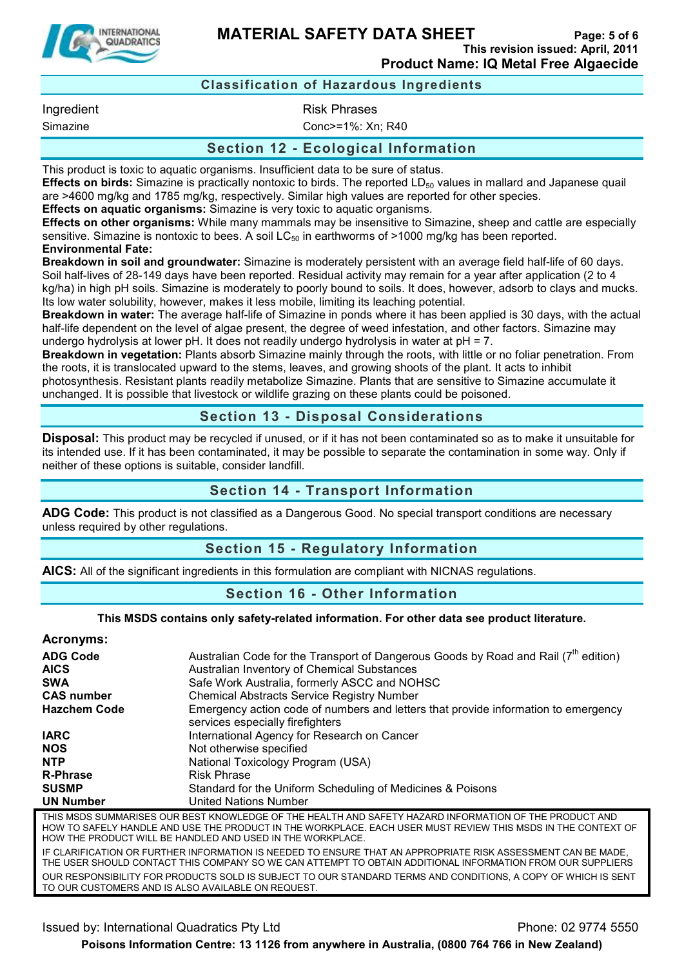

**MATERIAL SAFETY DATA SHEET** Page: 5 of 6

**This revision issued: April, 2011 Product Name: IQ Metal Free Algaecide**

### **Classification of Hazardous Ingredients**

Ingredient **Risk Phrases** 

Simazine Conc>=1%: Xn; R40

#### **Section 12 - Ecological Information**

This product is toxic to aquatic organisms. Insufficient data to be sure of status.

**Effects on birds:** Simazine is practically nontoxic to birds. The reported LD<sub>50</sub> values in mallard and Japanese quail are >4600 mg/kg and 1785 mg/kg, respectively. Similar high values are reported for other species.

**Effects on aquatic organisms:** Simazine is very toxic to aquatic organisms.

**Effects on other organisms:** While many mammals may be insensitive to Simazine, sheep and cattle are especially sensitive. Simazine is nontoxic to bees. A soil  $LC_{50}$  in earthworms of >1000 mg/kg has been reported. **Environmental Fate:** 

**Breakdown in soil and groundwater:** Simazine is moderately persistent with an average field half-life of 60 days. Soil half-lives of 28-149 days have been reported. Residual activity may remain for a year after application (2 to 4 kg/ha) in high pH soils. Simazine is moderately to poorly bound to soils. It does, however, adsorb to clays and mucks. Its low water solubility, however, makes it less mobile, limiting its leaching potential.

**Breakdown in water:** The average half-life of Simazine in ponds where it has been applied is 30 days, with the actual half-life dependent on the level of algae present, the degree of weed infestation, and other factors. Simazine may undergo hydrolysis at lower pH. It does not readily undergo hydrolysis in water at pH = 7.

**Breakdown in vegetation:** Plants absorb Simazine mainly through the roots, with little or no foliar penetration. From the roots, it is translocated upward to the stems, leaves, and growing shoots of the plant. It acts to inhibit photosynthesis. Resistant plants readily metabolize Simazine. Plants that are sensitive to Simazine accumulate it unchanged. It is possible that livestock or wildlife grazing on these plants could be poisoned.

### **Section 13 - Disposal Considerations**

**Disposal:** This product may be recycled if unused, or if it has not been contaminated so as to make it unsuitable for its intended use. If it has been contaminated, it may be possible to separate the contamination in some way. Only if neither of these options is suitable, consider landfill.

#### **Section 14 - Transport Information**

**ADG Code:** This product is not classified as a Dangerous Good. No special transport conditions are necessary unless required by other regulations.

### **Section 15 - Regulatory Information**

**AICS:** All of the significant ingredients in this formulation are compliant with NICNAS regulations.

#### **Section 16 - Other Information**

#### **This MSDS contains only safety-related information. For other data see product literature.**

**Acronyms:** 

| AVIVIIIIV.                     |                                                                                                                                                                                                                                |
|--------------------------------|--------------------------------------------------------------------------------------------------------------------------------------------------------------------------------------------------------------------------------|
| <b>ADG Code</b><br><b>AICS</b> | Australian Code for the Transport of Dangerous Goods by Road and Rail $(7^{in}$ edition)<br>Australian Inventory of Chemical Substances                                                                                        |
| <b>SWA</b>                     | Safe Work Australia, formerly ASCC and NOHSC                                                                                                                                                                                   |
| <b>CAS number</b>              | <b>Chemical Abstracts Service Registry Number</b>                                                                                                                                                                              |
| <b>Hazchem Code</b>            | Emergency action code of numbers and letters that provide information to emergency<br>services especially firefighters                                                                                                         |
| <b>IARC</b>                    | International Agency for Research on Cancer                                                                                                                                                                                    |
| <b>NOS</b>                     | Not otherwise specified                                                                                                                                                                                                        |
| <b>NTP</b>                     | National Toxicology Program (USA)                                                                                                                                                                                              |
| <b>R-Phrase</b>                | <b>Risk Phrase</b>                                                                                                                                                                                                             |
| <b>SUSMP</b>                   | Standard for the Uniform Scheduling of Medicines & Poisons                                                                                                                                                                     |
| <b>UN Number</b>               | <b>United Nations Number</b>                                                                                                                                                                                                   |
|                                | THIS MSDS SUMMARISES OUR BEST KNOWLEDGE OF THE HEALTH AND SAFETY HAZARD INFORMATION OF THE PRODUCT AND<br><u>HOM TO SAEELY HANDLE AND HSE THE DDODLICT IN THE MODKDLACE. EACH HSED MITST DEVIEW THIS MSDS IN THE CONTEVT O</u> |

THE PRODUCT IN THE WORKPLACE. EACH USER MUST REVIEW HOW THE PRODUCT WILL BE HANDLED AND USED IN THE WORKPLACE. IF CLARIFICATION OR FURTHER INFORMATION IS NEEDED TO ENSURE THAT AN APPROPRIATE RISK ASSESSMENT CAN BE MADE,

THE USER SHOULD CONTACT THIS COMPANY SO WE CAN ATTEMPT TO OBTAIN ADDITIONAL INFORMATION FROM OUR SUPPLIERS OUR RESPONSIBILITY FOR PRODUCTS SOLD IS SUBJECT TO OUR STANDARD TERMS AND CONDITIONS, A COPY OF WHICH IS SENT TO OUR CUSTOMERS AND IS ALSO AVAILABLE ON REQUEST.